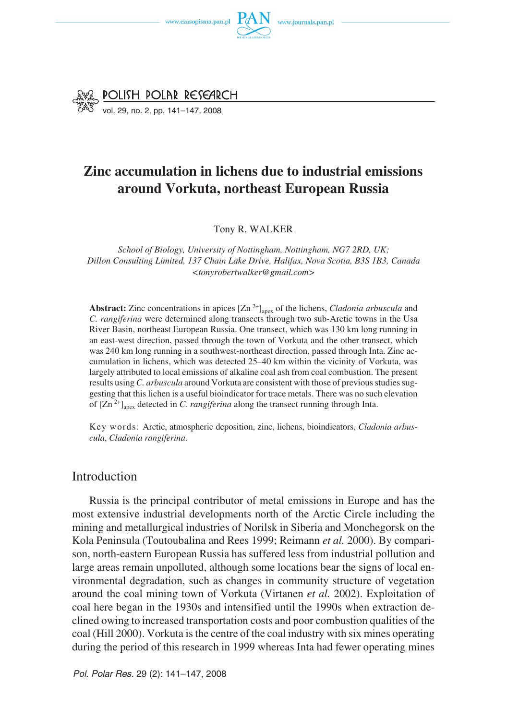



vol. 29, no. 2, pp. 141–147, 2008

# **Zinc accumulation in lichens due to industrial emissions around Vorkuta, northeast European Russia**

Tony R. WALKER

*School of Biology, University of Nottingham, Nottingham, NG7 2RD, UK; Dillon Consulting Limited, 137 Chain Lake Drive, Halifax, Nova Scotia, B3S 1B3, Canada <tonyrobertwalker@gmail.com>*

**Abstract:** Zinc concentrations in apices  $[Zn^{2+}]$ <sub>apex</sub> of the lichens, *Cladonia arbuscula* and *C. rangiferina* were determined along transects through two sub−Arctic towns in the Usa River Basin, northeast European Russia. One transect, which was 130 km long running in an east−west direction, passed through the town of Vorkuta and the other transect, which was 240 km long running in a southwest−northeast direction, passed through Inta. Zinc ac− cumulation in lichens, which was detected 25–40 km within the vicinity of Vorkuta, was largely attributed to local emissions of alkaline coal ash from coal combustion. The present results using *C. arbuscula* around Vorkuta are consistent with those of previous studies sug− gesting that this lichen is a useful bioindicator for trace metals. There was no such elevation of  $[Zn^{2+}]$ <sub>anex</sub> detected in *C. rangiferina* along the transect running through Inta.

Key words: Arctic, atmospheric deposition, zinc, lichens, bioindicators, *Cladonia arbus− cula*, *Cladonia rangiferina*.

## Introduction

Russia is the principal contributor of metal emissions in Europe and has the most extensive industrial developments north of the Arctic Circle including the mining and metallurgical industries of Norilsk in Siberia and Monchegorsk on the Kola Peninsula (Toutoubalina and Rees 1999; Reimann *et al.* 2000). By compari− son, north−eastern European Russia has suffered less from industrial pollution and large areas remain unpolluted, although some locations bear the signs of local en− vironmental degradation, such as changes in community structure of vegetation around the coal mining town of Vorkuta (Virtanen *et al.* 2002). Exploitation of coal here began in the 1930s and intensified until the 1990s when extraction de− clined owing to increased transportation costs and poor combustion qualities of the coal (Hill 2000). Vorkuta is the centre of the coal industry with six mines operating during the period of this research in 1999 whereas Inta had fewer operating mines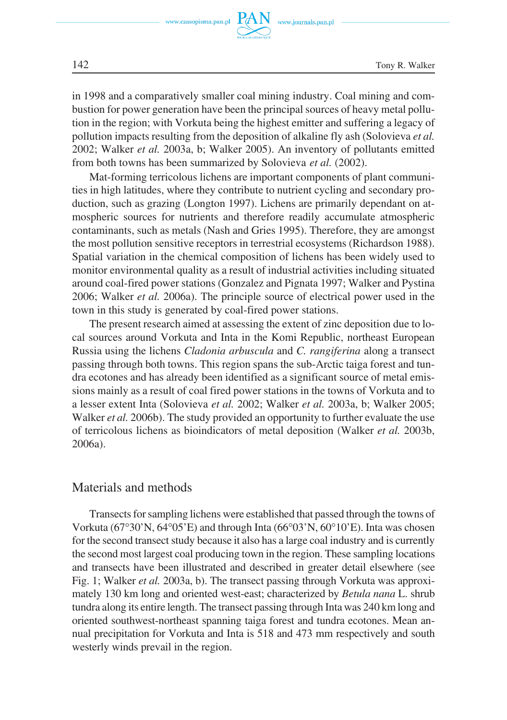

in 1998 and a comparatively smaller coal mining industry. Coal mining and com− bustion for power generation have been the principal sources of heavy metal pollu− tion in the region; with Vorkuta being the highest emitter and suffering a legacy of pollution impacts resulting from the deposition of alkaline fly ash (Solovieva *et al.* 2002; Walker *et al.* 2003a, b; Walker 2005). An inventory of pollutants emitted from both towns has been summarized by Solovieva *et al.* (2002).

Mat−forming terricolous lichens are important components of plant communi− ties in high latitudes, where they contribute to nutrient cycling and secondary pro− duction, such as grazing (Longton 1997). Lichens are primarily dependant on at− mospheric sources for nutrients and therefore readily accumulate atmospheric contaminants, such as metals (Nash and Gries 1995). Therefore, they are amongst the most pollution sensitive receptors in terrestrial ecosystems (Richardson 1988). Spatial variation in the chemical composition of lichens has been widely used to monitor environmental quality as a result of industrial activities including situated around coal−fired power stations (Gonzalez and Pignata 1997; Walker and Pystina 2006; Walker *et al.* 2006a). The principle source of electrical power used in the town in this study is generated by coal−fired power stations.

The present research aimed at assessing the extent of zinc deposition due to lo− cal sources around Vorkuta and Inta in the Komi Republic, northeast European Russia using the lichens *Cladonia arbuscula* and *C. rangiferina* along a transect passing through both towns. This region spans the sub−Arctic taiga forest and tun− dra ecotones and has already been identified as a significant source of metal emis− sions mainly as a result of coal fired power stations in the towns of Vorkuta and to a lesser extent Inta (Solovieva *et al.* 2002; Walker *et al.* 2003a, b; Walker 2005; Walker *et al.* 2006b). The study provided an opportunity to further evaluate the use of terricolous lichens as bioindicators of metal deposition (Walker *et al.* 2003b, 2006a).

### Materials and methods

Transects for sampling lichens were established that passed through the towns of Transects for sampling lichens were established that passed through the towns of Vorkuta (67°30'N, 64°05'E) and through Inta (66°03'N, 60°10'E). Inta was chosen for the second transect study because it also has a large coal industry and is currently the second most largest coal producing town in the region. These sampling locations and transects have been illustrated and described in greater detail elsewhere (see Fig. 1; Walker *et al.* 2003a, b). The transect passing through Vorkuta was approxi− mately 130 km long and oriented west−east; characterized by *Betula nana* L. shrub tundra along its entire length. The transect passing through Inta was 240 km long and oriented southwest−northeast spanning taiga forest and tundra ecotones. Mean an− nual precipitation for Vorkuta and Inta is 518 and 473 mm respectively and south westerly winds prevail in the region.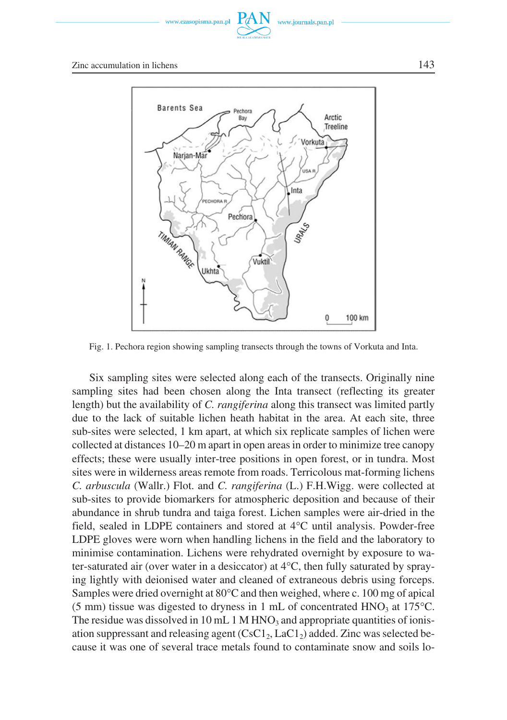

Zinc accumulation in lichens 143



Fig. 1. Pechora region showing sampling transects through the towns of Vorkuta and Inta.

Six sampling sites were selected along each of the transects. Originally nine sampling sites had been chosen along the Inta transect (reflecting its greater length) but the availability of *C. rangiferina* along this transect was limited partly due to the lack of suitable lichen heath habitat in the area. At each site, three sub−sites were selected, 1 km apart, at which six replicate samples of lichen were collected at distances 10–20 m apart in open areas in order to minimize tree canopy effects; these were usually inter−tree positions in open forest, or in tundra. Most sites were in wilderness areas remote from roads. Terricolous mat−forming lichens *C. arbuscula* (Wallr.) Flot. and *C. rangiferina* (L.) F.H.Wigg. were collected at sub−sites to provide biomarkers for atmospheric deposition and because of their abundance in shrub tundra and taiga forest. Lichen samples were air−dried in the abundance in shrub tundra and taiga forest. Lichen samples were air-dried in the field, sealed in LDPE containers and stored at 4°C until analysis. Powder-free LDPE gloves were worn when handling lichens in the field and the laboratory to minimise contamination. Lichens were rehydrated overnight by exposure to wa− minimise contamination. Lichens were rehydrated overnight by exposure to wa-<br>ter-saturated air (over water in a desiccator) at 4°C, then fully saturated by spraying lightly with deionised water and cleaned of extraneous debris using forceps.<br>Samples were dried overnight at 80°C and then weighed, where c. 100 mg of apical Samples were dried overnight at  $80^{\circ}$ C and then weighed, where c. 100 mg of apical Samples were dried overnight at 80°C and then weighed, where c. 100 mg of apical (5 mm) tissue was digested to dryness in 1 mL of concentrated HNO<sub>3</sub> at 175°C. The residue was dissolved in 10 mL 1 M HNO<sub>3</sub> and appropriate quantities of ionis− ation suppressant and releasing agent  $(CsC1<sub>2</sub>, LaC1<sub>2</sub>)$  added. Zinc was selected be– cause it was one of several trace metals found to contaminate snow and soils lo−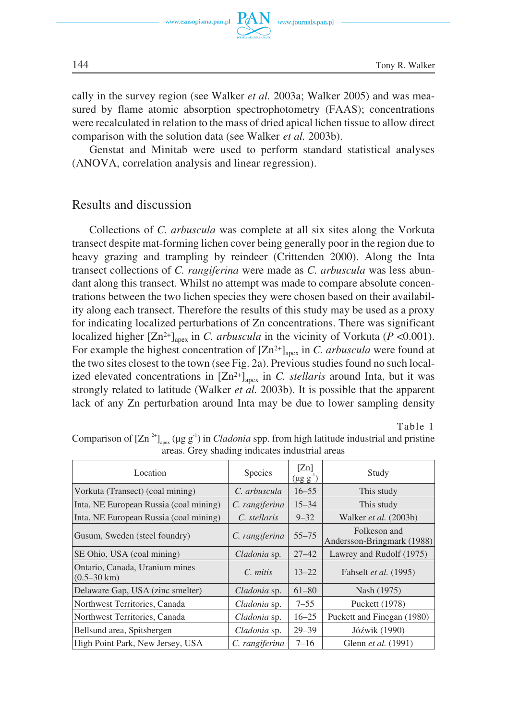

cally in the survey region (see Walker *et al.* 2003a; Walker 2005) and was mea− sured by flame atomic absorption spectrophotometry (FAAS); concentrations were recalculated in relation to the mass of dried apical lichen tissue to allow direct comparison with the solution data (see Walker *et al.* 2003b).

Genstat and Minitab were used to perform standard statistical analyses (ANOVA, correlation analysis and linear regression).

## Results and discussion

Collections of *C. arbuscula* was complete at all six sites along the Vorkuta transect despite mat−forming lichen cover being generally poor in the region due to heavy grazing and trampling by reindeer (Crittenden 2000). Along the Inta transect collections of *C. rangiferina* were made as *C. arbuscula* was less abun− dant along this transect. Whilst no attempt was made to compare absolute concen− trations between the two lichen species they were chosen based on their availabil− ity along each transect. Therefore the results of this study may be used as a proxy for indicating localized perturbations of Zn concentrations. There was significant localized higher  $[Zn^{2+}]$ <sub>apex</sub> in *C. arbuscula* in the vicinity of Vorkuta (*P* <0.001). For example the highest concentration of  $[Zn^{2+}]<sub>anex</sub>$  in *C. arbuscula* were found at the two sites closest to the town (see Fig. 2a). Previous studies found no such local− ized elevated concentrations in  $[Zn^{2+}]$ <sub>apex</sub> in *C. stellaris* around Inta, but it was strongly related to latitude (Walker *et al.* 2003b). It is possible that the apparent lack of any Zn perturbation around Inta may be due to lower sampling density

Table 1

| Location                                                | Species        | [Z <sub>n</sub> ]<br>$(\mu g g^{\text{-}1})$ | Study                                      |
|---------------------------------------------------------|----------------|----------------------------------------------|--------------------------------------------|
| Vorkuta (Transect) (coal mining)                        | C. arbuscula   | $16 - 55$                                    | This study                                 |
| Inta, NE European Russia (coal mining)                  | C. rangiferina | $15 - 34$                                    | This study                                 |
| Inta, NE European Russia (coal mining)                  | C. stellaris   | $9 - 32$                                     | Walker et al. (2003b)                      |
| Gusum, Sweden (steel foundry)                           | C. rangiferina | $55 - 75$                                    | Folkeson and<br>Andersson-Bringmark (1988) |
| SE Ohio, USA (coal mining)                              | Cladonia sp.   | $27 - 42$                                    | Lawrey and Rudolf (1975)                   |
| Ontario, Canada, Uranium mines<br>$(0.5-30 \text{ km})$ | $C.$ mitis     | $13 - 22$                                    | Fahselt et al. (1995)                      |
| Delaware Gap, USA (zinc smelter)                        | Cladonia sp.   | $61 - 80$                                    | Nash (1975)                                |
| Northwest Territories, Canada                           | Cladonia sp.   | $7 - 55$                                     | Puckett (1978)                             |
| Northwest Territories, Canada                           | Cladonia sp.   | $16 - 25$                                    | Puckett and Finegan (1980)                 |
| Bellsund area, Spitsbergen                              | Cladonia sp.   | $29 - 39$                                    | Jóźwik (1990)                              |
| High Point Park, New Jersey, USA                        | C. rangiferina | $7 - 16$                                     | Glenn <i>et al.</i> (1991)                 |

Comparison of  $[Zn^{2+}]$ <sub>apex</sub> (μg g<sup>-1</sup>) in *Cladonia* spp. from high latitude industrial and pristine areas. Grey shading indicates industrial areas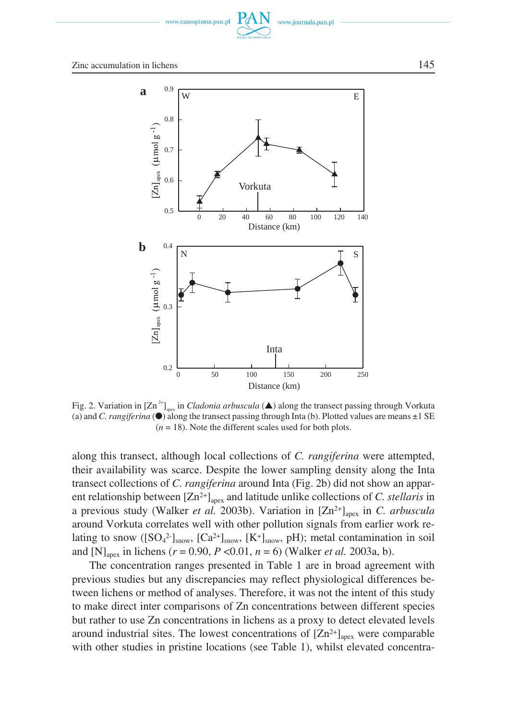



Fig. 2. Variation in  $[Zn^{2+}]$ <sub>apex</sub> in *Cladonia arbuscula* ( $\triangle$ ) along the transect passing through Vorkuta (a) and *C. rangiferina*  $\bigcirc$  along the transect passing through Inta (b). Plotted values are means  $\pm 1$  SE  $(n = 18)$ . Note the different scales used for both plots.

along this transect, although local collections of *C. rangiferina* were attempted, their availability was scarce. Despite the lower sampling density along the Inta transect collections of *C. rangiferina* around Inta (Fig. 2b) did not show an appar− ent relationship between  $[Zn^{2+}]_{\text{anex}}$  and latitude unlike collections of *C. stellaris* in a previous study (Walker *et al.* 2003b). Variation in [Zn<sup>2+</sup>]<sub>apex</sub> in *C. arbuscula* around Vorkuta correlates well with other pollution signals from earlier work re− lating to snow ( $[SO_4^2]_{\text{snow}}$ ,  $[Ca^{2+}]_{\text{snow}}$ ,  $[K^+]_{\text{snow}}$ , pH); metal contamination in soil and  $[N]_{\text{anex}}$  in lichens ( $r = 0.90$ ,  $P < 0.01$ ,  $n = 6$ ) (Walker *et al.* 2003a, b).

The concentration ranges presented in Table 1 are in broad agreement with previous studies but any discrepancies may reflect physiological differences be− tween lichens or method of analyses. Therefore, it was not the intent of this study to make direct inter comparisons of Zn concentrations between different species but rather to use Zn concentrations in lichens as a proxy to detect elevated levels around industrial sites. The lowest concentrations of  $[Zn^{2+}]$ <sub>apex</sub> were comparable with other studies in pristine locations (see Table 1), whilst elevated concentra−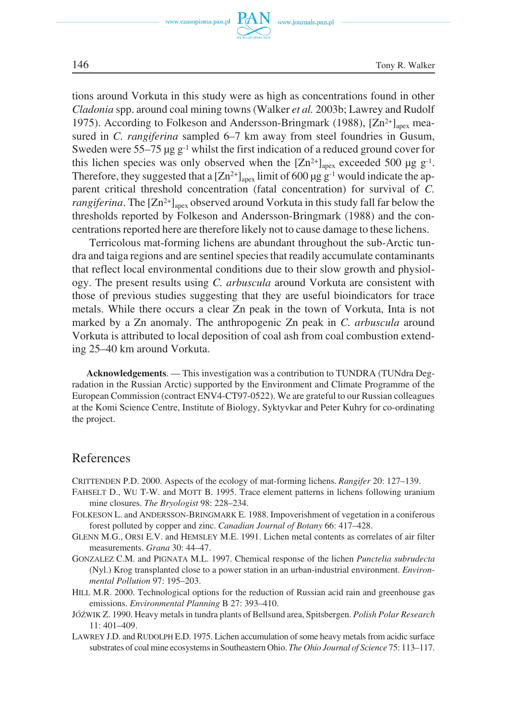

tions around Vorkuta in this study were as high as concentrations found in other *Cladonia* spp. around coal mining towns (Walker *et al.* 2003b; Lawrey and Rudolf 1975). According to Folkeson and Andersson-Bringmark (1988), [Zn<sup>2+</sup>]<sub>apex</sub> mea− sured in *C. rangiferina* sampled 6–7 km away from steel foundries in Gusum, Sweden were 55–75 μg g−1 whilst the first indication of a reduced ground cover for this lichen species was only observed when the  $[Zn^{2+}]$ <sub>apex</sub> exceeded 500 μg g<sup>-1</sup>. Therefore, they suggested that a  $[Zn^{2+}]$ <sub>anex</sub> limit of 600 μg g<sup>-1</sup> would indicate the ap– parent critical threshold concentration (fatal concentration) for survival of *C. rangiferina*. The  $[Zn^{2+}]$ <sub>anex</sub> observed around Vorkuta in this study fall far below the thresholds reported by Folkeson and Andersson−Bringmark (1988) and the con− centrations reported here are therefore likely not to cause damage to these lichens.

Terricolous mat−forming lichens are abundant throughout the sub−Arctic tun− dra and taiga regions and are sentinel species that readily accumulate contaminants that reflect local environmental conditions due to their slow growth and physiol− ogy. The present results using *C. arbuscula* around Vorkuta are consistent with those of previous studies suggesting that they are useful bioindicators for trace metals. While there occurs a clear Zn peak in the town of Vorkuta, Inta is not marked by a Zn anomaly. The anthropogenic Zn peak in *C. arbuscula* around Vorkuta is attributed to local deposition of coal ash from coal combustion extend− ing 25–40 km around Vorkuta.

**Acknowledgements**. — This investigation was a contribution to TUNDRA (TUNdra Deg− radation in the Russian Arctic) supported by the Environment and Climate Programme of the European Commission (contract ENV4−CT97−0522). We are grateful to our Russian colleagues at the Komi Science Centre, Institute of Biology, Syktyvkar and Peter Kuhry for co−ordinating the project.

#### References

CRITTENDEN P.D. 2000. Aspects of the ecology of mat−forming lichens. *Rangifer* 20: 127–139.

- FAHSELT D., WU T−W. and MOTT B. 1995. Trace element patterns in lichens following uranium mine closures. *The Bryologist* 98: 228–234.
- FOLKESON L. and ANDERSSON−BRINGMARK E. 1988. Impoverishment of vegetation in a coniferous forest polluted by copper and zinc. *Canadian Journal of Botany* 66: 417–428.
- GLENN M.G., ORSI E.V. and HEMSLEY M.E. 1991. Lichen metal contents as correlates of air filter measurements. *Grana* 30: 44–47.
- GONZALEZ C.M. and PIGNATA M.L. 1997. Chemical response of the lichen *Punctelia subrudecta* (Nyl.) Krog transplanted close to a power station in an urban−industrial environment. *Environ− mental Pollution* 97: 195–203.
- HILL M.R. 2000. Technological options for the reduction of Russian acid rain and greenhouse gas emissions. *Environmental Planning* B 27: 393–410.
- JÓŹWIK Z. 1990. Heavy metals in tundra plants of Bellsund area, Spitsbergen. *Polish Polar Research* 11: 401–409.
- LAWREY J.D. and RUDOLPH E.D. 1975. Lichen accumulation of some heavy metals from acidic surface substrates of coal mine ecosystems in Southeastern Ohio. *The Ohio Journal of Science* 75: 113–117.